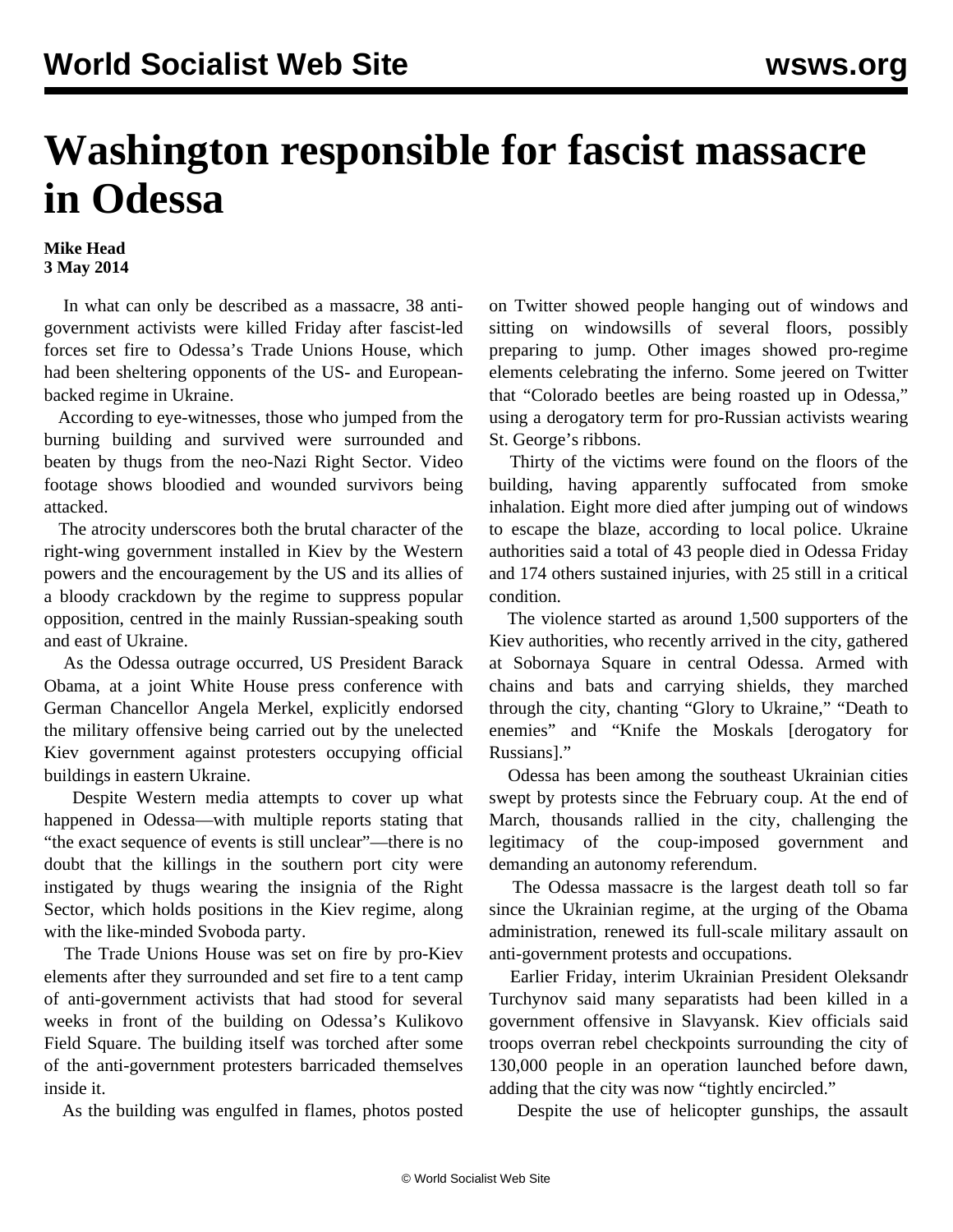## **Washington responsible for fascist massacre in Odessa**

## **Mike Head 3 May 2014**

 In what can only be described as a massacre, 38 antigovernment activists were killed Friday after fascist-led forces set fire to Odessa's Trade Unions House, which had been sheltering opponents of the US- and Europeanbacked regime in Ukraine.

 According to eye-witnesses, those who jumped from the burning building and survived were surrounded and beaten by thugs from the neo-Nazi Right Sector. [Video](http://rt.com/news/156480-odessa-fire-protesters-dead/) footage shows bloodied and wounded survivors being attacked.

 The atrocity underscores both the brutal character of the right-wing government installed in Kiev by the Western powers and the encouragement by the US and its allies of a bloody crackdown by the regime to suppress popular opposition, centred in the mainly Russian-speaking south and east of Ukraine.

 As the Odessa outrage occurred, US President Barack Obama, at a joint White House [press conference](/en/articles/2014/05/03/obam-m03.html) with German Chancellor Angela Merkel, explicitly endorsed the military offensive being carried out by the unelected Kiev government against protesters occupying official buildings in eastern Ukraine.

 Despite Western media attempts to cover up what happened in Odessa—with multiple reports stating that "the exact sequence of events is still unclear"—there is no doubt that the killings in the southern port city were instigated by thugs wearing the insignia of the Right Sector, which holds positions in the Kiev regime, along with the like-minded Svoboda party.

 The Trade Unions House was set on fire by pro-Kiev elements after they surrounded and set fire to a tent camp of anti-government activists that had stood for several weeks in front of the building on Odessa's Kulikovo Field Square. The building itself was torched after some of the anti-government protesters barricaded themselves inside it.

As the building was engulfed in flames, photos posted

on Twitter showed people hanging out of windows and sitting on windowsills of several floors, possibly preparing to jump. Other images showed pro-regime elements celebrating the inferno. Some jeered on Twitter that "Colorado beetles are being roasted up in Odessa," using a derogatory term for pro-Russian activists wearing St. George's ribbons.

 Thirty of the victims were found on the floors of the building, having apparently suffocated from smoke inhalation. Eight more died after jumping out of windows to escape the blaze, according to local police. Ukraine authorities said a total of 43 people died in Odessa Friday and 174 others sustained injuries, with 25 still in a critical condition.

 The violence started as around 1,500 supporters of the Kiev authorities, who recently arrived in the city, gathered at Sobornaya Square in central Odessa. Armed with chains and bats and carrying shields, they marched through the city, chanting "Glory to Ukraine," "Death to enemies" and "Knife the Moskals [derogatory for Russians]."

 Odessa has been among the southeast Ukrainian cities swept by protests since the February coup. At the end of March, thousands rallied in the city, challenging the legitimacy of the coup-imposed government and demanding an autonomy referendum.

 The Odessa massacre is the largest death toll so far since the Ukrainian regime, at the urging of the Obama administration, renewed its full-scale military assault on anti-government protests and occupations.

 Earlier Friday, interim Ukrainian President Oleksandr Turchynov said many separatists had been killed in a government offensive in Slavyansk. Kiev officials said troops overran rebel checkpoints surrounding the city of 130,000 people in an operation launched before dawn, adding that the city was now "tightly encircled."

Despite the use of helicopter gunships, the assault